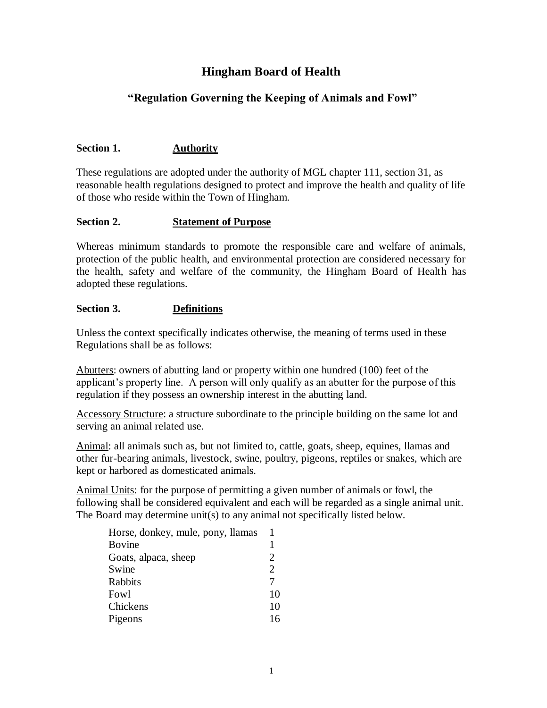# **Hingham Board of Health**

## **"Regulation Governing the Keeping of Animals and Fowl"**

#### **Section 1. Authority**

These regulations are adopted under the authority of MGL chapter 111, section 31, as reasonable health regulations designed to protect and improve the health and quality of life of those who reside within the Town of Hingham.

#### **Section 2. Statement of Purpose**

Whereas minimum standards to promote the responsible care and welfare of animals, protection of the public health, and environmental protection are considered necessary for the health, safety and welfare of the community, the Hingham Board of Health has adopted these regulations.

## **Section 3. Definitions**

Unless the context specifically indicates otherwise, the meaning of terms used in these Regulations shall be as follows:

Abutters: owners of abutting land or property within one hundred (100) feet of the applicant's property line. A person will only qualify as an abutter for the purpose of this regulation if they possess an ownership interest in the abutting land.

Accessory Structure: a structure subordinate to the principle building on the same lot and serving an animal related use.

Animal: all animals such as, but not limited to, cattle, goats, sheep, equines, llamas and other fur-bearing animals, livestock, swine, poultry, pigeons, reptiles or snakes, which are kept or harbored as domesticated animals.

Animal Units: for the purpose of permitting a given number of animals or fowl, the following shall be considered equivalent and each will be regarded as a single animal unit. The Board may determine unit(s) to any animal not specifically listed below.

| Horse, donkey, mule, pony, llamas |                             |
|-----------------------------------|-----------------------------|
| Bovine                            |                             |
| Goats, alpaca, sheep              | 2                           |
| Swine                             | $\mathcal{D}_{\mathcal{L}}$ |
| Rabbits                           |                             |
| Fowl                              | 10                          |
| Chickens                          | 10                          |
| Pigeons                           | 16                          |
|                                   |                             |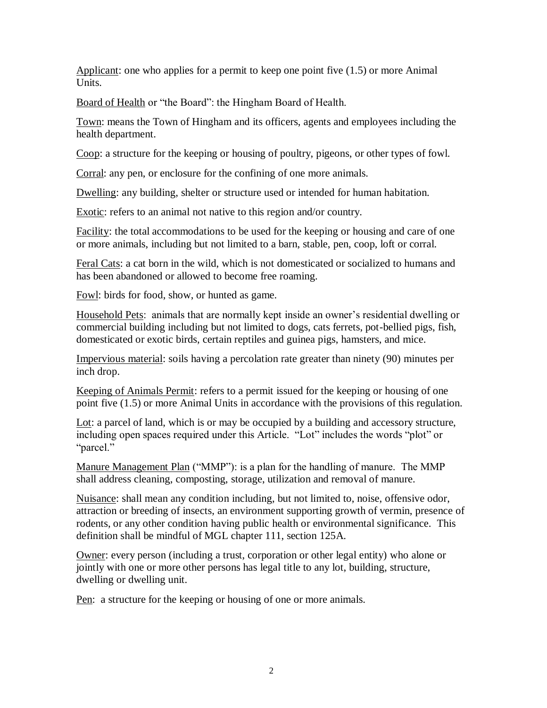Applicant: one who applies for a permit to keep one point five (1.5) or more Animal Units.

Board of Health or "the Board": the Hingham Board of Health.

Town: means the Town of Hingham and its officers, agents and employees including the health department.

Coop: a structure for the keeping or housing of poultry, pigeons, or other types of fowl.

Corral: any pen, or enclosure for the confining of one more animals.

Dwelling: any building, shelter or structure used or intended for human habitation.

Exotic: refers to an animal not native to this region and/or country.

Facility: the total accommodations to be used for the keeping or housing and care of one or more animals, including but not limited to a barn, stable, pen, coop, loft or corral.

Feral Cats: a cat born in the wild, which is not domesticated or socialized to humans and has been abandoned or allowed to become free roaming.

Fowl: birds for food, show, or hunted as game.

Household Pets: animals that are normally kept inside an owner's residential dwelling or commercial building including but not limited to dogs, cats ferrets, pot-bellied pigs, fish, domesticated or exotic birds, certain reptiles and guinea pigs, hamsters, and mice.

Impervious material: soils having a percolation rate greater than ninety (90) minutes per inch drop.

Keeping of Animals Permit: refers to a permit issued for the keeping or housing of one point five (1.5) or more Animal Units in accordance with the provisions of this regulation.

Lot: a parcel of land, which is or may be occupied by a building and accessory structure, including open spaces required under this Article. "Lot" includes the words "plot" or "parcel."

Manure Management Plan ("MMP"): is a plan for the handling of manure. The MMP shall address cleaning, composting, storage, utilization and removal of manure.

Nuisance: shall mean any condition including, but not limited to, noise, offensive odor, attraction or breeding of insects, an environment supporting growth of vermin, presence of rodents, or any other condition having public health or environmental significance. This definition shall be mindful of MGL chapter 111, section 125A.

Owner: every person (including a trust, corporation or other legal entity) who alone or jointly with one or more other persons has legal title to any lot, building, structure, dwelling or dwelling unit.

Pen: a structure for the keeping or housing of one or more animals.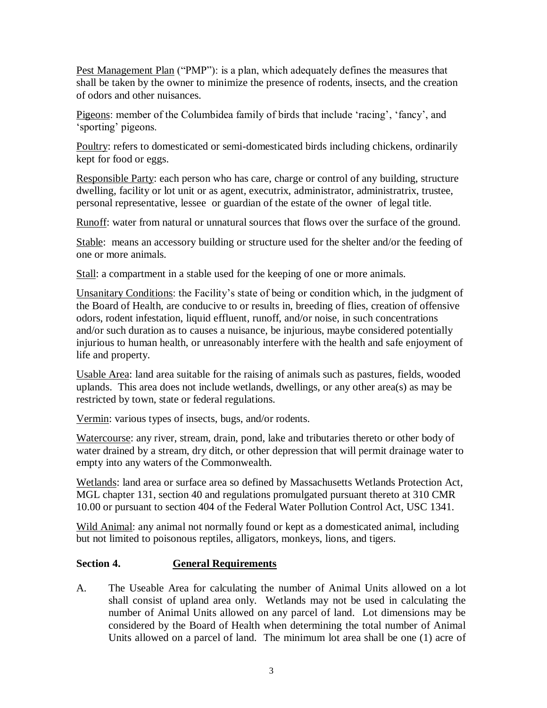Pest Management Plan ("PMP"): is a plan, which adequately defines the measures that shall be taken by the owner to minimize the presence of rodents, insects, and the creation of odors and other nuisances.

Pigeons: member of the Columbidea family of birds that include 'racing', 'fancy', and 'sporting' pigeons.

Poultry: refers to domesticated or semi-domesticated birds including chickens, ordinarily kept for food or eggs.

Responsible Party: each person who has care, charge or control of any building, structure dwelling, facility or lot unit or as agent, executrix, administrator, administratrix, trustee, personal representative, lessee or guardian of the estate of the owner of legal title.

Runoff: water from natural or unnatural sources that flows over the surface of the ground.

Stable: means an accessory building or structure used for the shelter and/or the feeding of one or more animals.

Stall: a compartment in a stable used for the keeping of one or more animals.

Unsanitary Conditions: the Facility's state of being or condition which, in the judgment of the Board of Health, are conducive to or results in, breeding of flies, creation of offensive odors, rodent infestation, liquid effluent, runoff, and/or noise, in such concentrations and/or such duration as to causes a nuisance, be injurious, maybe considered potentially injurious to human health, or unreasonably interfere with the health and safe enjoyment of life and property.

Usable Area: land area suitable for the raising of animals such as pastures, fields, wooded uplands. This area does not include wetlands, dwellings, or any other area(s) as may be restricted by town, state or federal regulations.

Vermin: various types of insects, bugs, and/or rodents.

Watercourse: any river, stream, drain, pond, lake and tributaries thereto or other body of water drained by a stream, dry ditch, or other depression that will permit drainage water to empty into any waters of the Commonwealth.

Wetlands: land area or surface area so defined by Massachusetts Wetlands Protection Act, MGL chapter 131, section 40 and regulations promulgated pursuant thereto at 310 CMR 10.00 or pursuant to section 404 of the Federal Water Pollution Control Act, USC 1341.

Wild Animal: any animal not normally found or kept as a domesticated animal, including but not limited to poisonous reptiles, alligators, monkeys, lions, and tigers.

## **Section 4. General Requirements**

A. The Useable Area for calculating the number of Animal Units allowed on a lot shall consist of upland area only. Wetlands may not be used in calculating the number of Animal Units allowed on any parcel of land. Lot dimensions may be considered by the Board of Health when determining the total number of Animal Units allowed on a parcel of land. The minimum lot area shall be one (1) acre of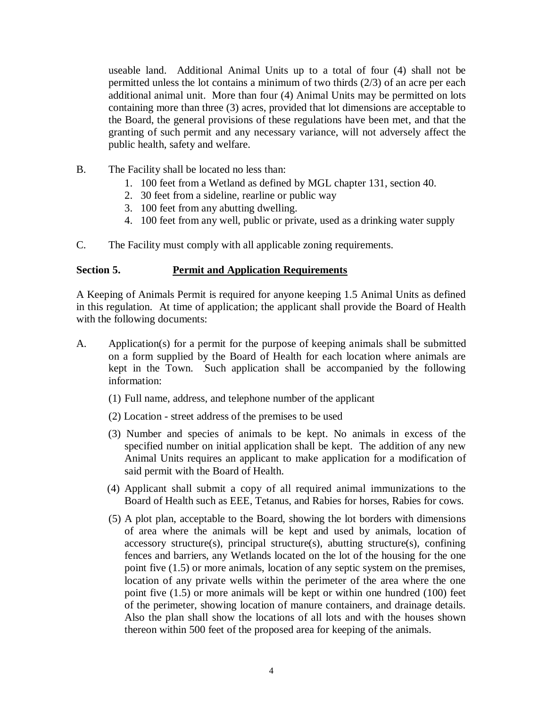useable land. Additional Animal Units up to a total of four (4) shall not be permitted unless the lot contains a minimum of two thirds (2/3) of an acre per each additional animal unit. More than four (4) Animal Units may be permitted on lots containing more than three (3) acres, provided that lot dimensions are acceptable to the Board, the general provisions of these regulations have been met, and that the granting of such permit and any necessary variance, will not adversely affect the public health, safety and welfare.

- B. The Facility shall be located no less than:
	- 1. 100 feet from a Wetland as defined by MGL chapter 131, section 40.
	- 2. 30 feet from a sideline, rearline or public way
	- 3. 100 feet from any abutting dwelling.
	- 4. 100 feet from any well, public or private, used as a drinking water supply
- C. The Facility must comply with all applicable zoning requirements.

#### **Section 5. Permit and Application Requirements**

A Keeping of Animals Permit is required for anyone keeping 1.5 Animal Units as defined in this regulation. At time of application; the applicant shall provide the Board of Health with the following documents:

- A. Application(s) for a permit for the purpose of keeping animals shall be submitted on a form supplied by the Board of Health for each location where animals are kept in the Town. Such application shall be accompanied by the following information:
	- (1) Full name, address, and telephone number of the applicant
	- (2) Location street address of the premises to be used
	- (3) Number and species of animals to be kept. No animals in excess of the specified number on initial application shall be kept. The addition of any new Animal Units requires an applicant to make application for a modification of said permit with the Board of Health.
	- (4) Applicant shall submit a copy of all required animal immunizations to the Board of Health such as EEE, Tetanus, and Rabies for horses, Rabies for cows.
	- (5) A plot plan, acceptable to the Board, showing the lot borders with dimensions of area where the animals will be kept and used by animals, location of accessory structure(s), principal structure(s), abutting structure(s), confining fences and barriers, any Wetlands located on the lot of the housing for the one point five (1.5) or more animals, location of any septic system on the premises, location of any private wells within the perimeter of the area where the one point five (1.5) or more animals will be kept or within one hundred (100) feet of the perimeter, showing location of manure containers, and drainage details. Also the plan shall show the locations of all lots and with the houses shown thereon within 500 feet of the proposed area for keeping of the animals.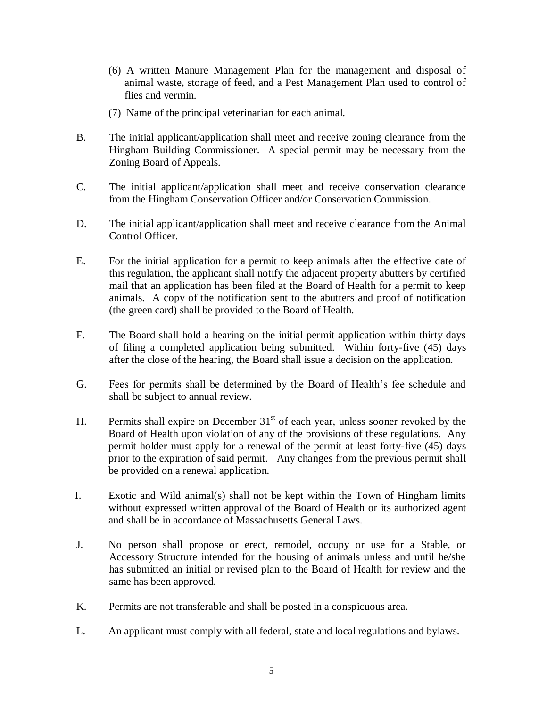- (6) A written Manure Management Plan for the management and disposal of animal waste, storage of feed, and a Pest Management Plan used to control of flies and vermin.
- (7) Name of the principal veterinarian for each animal.
- B. The initial applicant/application shall meet and receive zoning clearance from the Hingham Building Commissioner. A special permit may be necessary from the Zoning Board of Appeals.
- C. The initial applicant/application shall meet and receive conservation clearance from the Hingham Conservation Officer and/or Conservation Commission.
- D. The initial applicant/application shall meet and receive clearance from the Animal Control Officer.
- E. For the initial application for a permit to keep animals after the effective date of this regulation, the applicant shall notify the adjacent property abutters by certified mail that an application has been filed at the Board of Health for a permit to keep animals. A copy of the notification sent to the abutters and proof of notification (the green card) shall be provided to the Board of Health.
- F. The Board shall hold a hearing on the initial permit application within thirty days of filing a completed application being submitted. Within forty-five (45) days after the close of the hearing, the Board shall issue a decision on the application.
- G. Fees for permits shall be determined by the Board of Health's fee schedule and shall be subject to annual review.
- H. Permits shall expire on December  $31<sup>st</sup>$  of each year, unless sooner revoked by the Board of Health upon violation of any of the provisions of these regulations. Any permit holder must apply for a renewal of the permit at least forty-five (45) days prior to the expiration of said permit. Any changes from the previous permit shall be provided on a renewal application.
- I. Exotic and Wild animal(s) shall not be kept within the Town of Hingham limits without expressed written approval of the Board of Health or its authorized agent and shall be in accordance of Massachusetts General Laws.
- J. No person shall propose or erect, remodel, occupy or use for a Stable, or Accessory Structure intended for the housing of animals unless and until he/she has submitted an initial or revised plan to the Board of Health for review and the same has been approved.
- K. Permits are not transferable and shall be posted in a conspicuous area.
- L. An applicant must comply with all federal, state and local regulations and bylaws.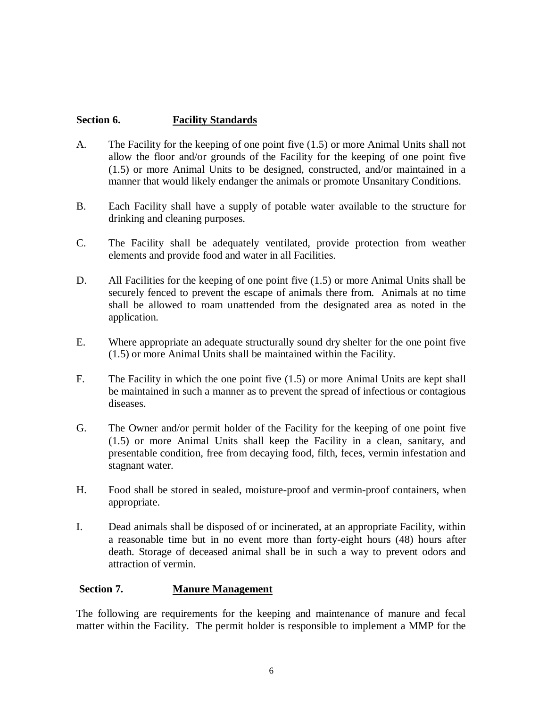#### **Section 6. Facility Standards**

- A. The Facility for the keeping of one point five (1.5) or more Animal Units shall not allow the floor and/or grounds of the Facility for the keeping of one point five (1.5) or more Animal Units to be designed, constructed, and/or maintained in a manner that would likely endanger the animals or promote Unsanitary Conditions.
- B. Each Facility shall have a supply of potable water available to the structure for drinking and cleaning purposes.
- C. The Facility shall be adequately ventilated, provide protection from weather elements and provide food and water in all Facilities.
- D. All Facilities for the keeping of one point five (1.5) or more Animal Units shall be securely fenced to prevent the escape of animals there from. Animals at no time shall be allowed to roam unattended from the designated area as noted in the application.
- E. Where appropriate an adequate structurally sound dry shelter for the one point five (1.5) or more Animal Units shall be maintained within the Facility.
- F. The Facility in which the one point five (1.5) or more Animal Units are kept shall be maintained in such a manner as to prevent the spread of infectious or contagious diseases.
- G. The Owner and/or permit holder of the Facility for the keeping of one point five (1.5) or more Animal Units shall keep the Facility in a clean, sanitary, and presentable condition, free from decaying food, filth, feces, vermin infestation and stagnant water.
- H. Food shall be stored in sealed, moisture-proof and vermin-proof containers, when appropriate.
- I. Dead animals shall be disposed of or incinerated, at an appropriate Facility, within a reasonable time but in no event more than forty-eight hours (48) hours after death. Storage of deceased animal shall be in such a way to prevent odors and attraction of vermin.

## **Section 7. Manure Management**

The following are requirements for the keeping and maintenance of manure and fecal matter within the Facility. The permit holder is responsible to implement a MMP for the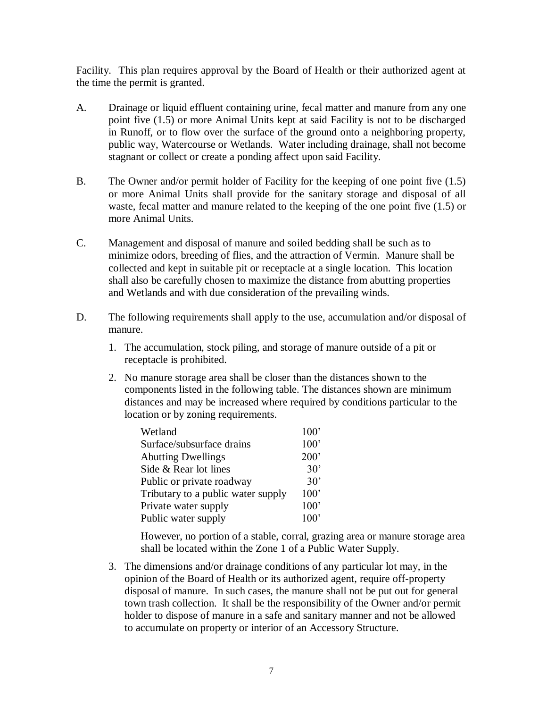Facility. This plan requires approval by the Board of Health or their authorized agent at the time the permit is granted.

- A. Drainage or liquid effluent containing urine, fecal matter and manure from any one point five (1.5) or more Animal Units kept at said Facility is not to be discharged in Runoff, or to flow over the surface of the ground onto a neighboring property, public way, Watercourse or Wetlands. Water including drainage, shall not become stagnant or collect or create a ponding affect upon said Facility.
- B. The Owner and/or permit holder of Facility for the keeping of one point five (1.5) or more Animal Units shall provide for the sanitary storage and disposal of all waste, fecal matter and manure related to the keeping of the one point five (1.5) or more Animal Units.
- C. Management and disposal of manure and soiled bedding shall be such as to minimize odors, breeding of flies, and the attraction of Vermin. Manure shall be collected and kept in suitable pit or receptacle at a single location. This location shall also be carefully chosen to maximize the distance from abutting properties and Wetlands and with due consideration of the prevailing winds.
- D. The following requirements shall apply to the use, accumulation and/or disposal of manure.
	- 1. The accumulation, stock piling, and storage of manure outside of a pit or receptacle is prohibited.
	- 2. No manure storage area shall be closer than the distances shown to the components listed in the following table. The distances shown are minimum distances and may be increased where required by conditions particular to the location or by zoning requirements.

| Wetland                            | 100' |
|------------------------------------|------|
| Surface/subsurface drains          | 100' |
| <b>Abutting Dwellings</b>          | 200' |
| Side & Rear lot lines              | 30'  |
| Public or private roadway          | 30'  |
| Tributary to a public water supply | 100' |
| Private water supply               | 100' |
| Public water supply                | 100' |

However, no portion of a stable, corral, grazing area or manure storage area shall be located within the Zone 1 of a Public Water Supply.

3. The dimensions and/or drainage conditions of any particular lot may, in the opinion of the Board of Health or its authorized agent, require off-property disposal of manure. In such cases, the manure shall not be put out for general town trash collection. It shall be the responsibility of the Owner and/or permit holder to dispose of manure in a safe and sanitary manner and not be allowed to accumulate on property or interior of an Accessory Structure.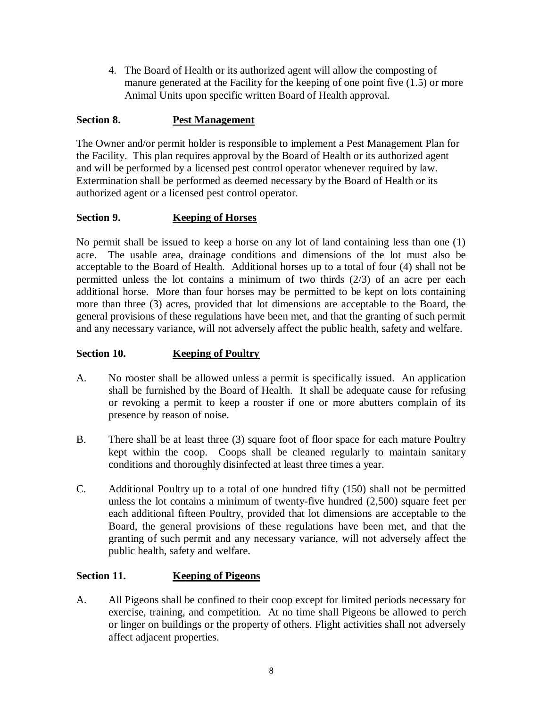4. The Board of Health or its authorized agent will allow the composting of manure generated at the Facility for the keeping of one point five (1.5) or more Animal Units upon specific written Board of Health approval.

#### **Section 8. Pest Management**

The Owner and/or permit holder is responsible to implement a Pest Management Plan for the Facility. This plan requires approval by the Board of Health or its authorized agent and will be performed by a licensed pest control operator whenever required by law. Extermination shall be performed as deemed necessary by the Board of Health or its authorized agent or a licensed pest control operator.

## **Section 9. Keeping of Horses**

No permit shall be issued to keep a horse on any lot of land containing less than one (1) acre. The usable area, drainage conditions and dimensions of the lot must also be acceptable to the Board of Health. Additional horses up to a total of four (4) shall not be permitted unless the lot contains a minimum of two thirds (2/3) of an acre per each additional horse. More than four horses may be permitted to be kept on lots containing more than three (3) acres, provided that lot dimensions are acceptable to the Board, the general provisions of these regulations have been met, and that the granting of such permit and any necessary variance, will not adversely affect the public health, safety and welfare.

## **Section 10.** Keeping of Poultry

- A. No rooster shall be allowed unless a permit is specifically issued. An application shall be furnished by the Board of Health. It shall be adequate cause for refusing or revoking a permit to keep a rooster if one or more abutters complain of its presence by reason of noise.
- B. There shall be at least three (3) square foot of floor space for each mature Poultry kept within the coop. Coops shall be cleaned regularly to maintain sanitary conditions and thoroughly disinfected at least three times a year.
- C. Additional Poultry up to a total of one hundred fifty (150) shall not be permitted unless the lot contains a minimum of twenty-five hundred (2,500) square feet per each additional fifteen Poultry, provided that lot dimensions are acceptable to the Board, the general provisions of these regulations have been met, and that the granting of such permit and any necessary variance, will not adversely affect the public health, safety and welfare.

## **Section 11. Keeping of Pigeons**

A. All Pigeons shall be confined to their coop except for limited periods necessary for exercise, training, and competition. At no time shall Pigeons be allowed to perch or linger on buildings or the property of others. Flight activities shall not adversely affect adjacent properties.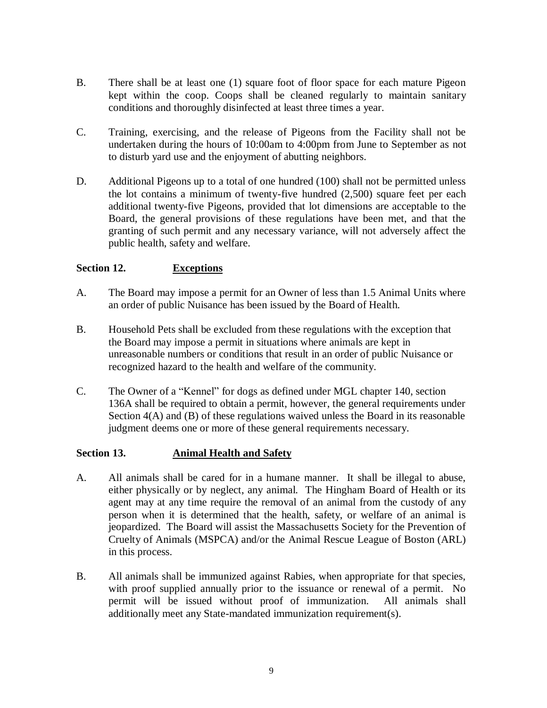- B. There shall be at least one (1) square foot of floor space for each mature Pigeon kept within the coop. Coops shall be cleaned regularly to maintain sanitary conditions and thoroughly disinfected at least three times a year.
- C. Training, exercising, and the release of Pigeons from the Facility shall not be undertaken during the hours of 10:00am to 4:00pm from June to September as not to disturb yard use and the enjoyment of abutting neighbors.
- D. Additional Pigeons up to a total of one hundred (100) shall not be permitted unless the lot contains a minimum of twenty-five hundred (2,500) square feet per each additional twenty-five Pigeons, provided that lot dimensions are acceptable to the Board, the general provisions of these regulations have been met, and that the granting of such permit and any necessary variance, will not adversely affect the public health, safety and welfare.

#### **Section 12. Exceptions**

- A. The Board may impose a permit for an Owner of less than 1.5 Animal Units where an order of public Nuisance has been issued by the Board of Health.
- B. Household Pets shall be excluded from these regulations with the exception that the Board may impose a permit in situations where animals are kept in unreasonable numbers or conditions that result in an order of public Nuisance or recognized hazard to the health and welfare of the community.
- C. The Owner of a "Kennel" for dogs as defined under MGL chapter 140, section 136A shall be required to obtain a permit, however, the general requirements under Section 4(A) and (B) of these regulations waived unless the Board in its reasonable judgment deems one or more of these general requirements necessary.

## **Section 13. Animal Health and Safety**

- A. All animals shall be cared for in a humane manner. It shall be illegal to abuse, either physically or by neglect, any animal. The Hingham Board of Health or its agent may at any time require the removal of an animal from the custody of any person when it is determined that the health, safety, or welfare of an animal is jeopardized. The Board will assist the Massachusetts Society for the Prevention of Cruelty of Animals (MSPCA) and/or the Animal Rescue League of Boston (ARL) in this process.
- B. All animals shall be immunized against Rabies, when appropriate for that species, with proof supplied annually prior to the issuance or renewal of a permit. No permit will be issued without proof of immunization. All animals shall additionally meet any State-mandated immunization requirement(s).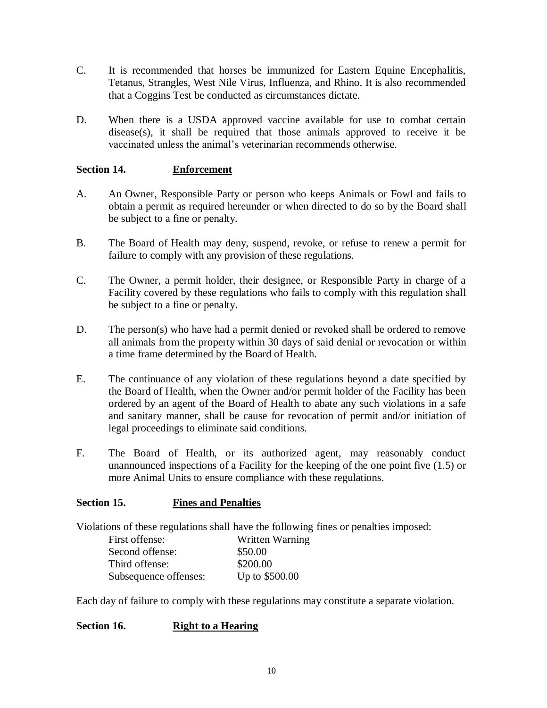- C. It is recommended that horses be immunized for Eastern Equine Encephalitis, Tetanus, Strangles, West Nile Virus, Influenza, and Rhino. It is also recommended that a Coggins Test be conducted as circumstances dictate.
- D. When there is a USDA approved vaccine available for use to combat certain disease(s), it shall be required that those animals approved to receive it be vaccinated unless the animal's veterinarian recommends otherwise.

#### **Section 14. Enforcement**

- A. An Owner, Responsible Party or person who keeps Animals or Fowl and fails to obtain a permit as required hereunder or when directed to do so by the Board shall be subject to a fine or penalty.
- B. The Board of Health may deny, suspend, revoke, or refuse to renew a permit for failure to comply with any provision of these regulations.
- C. The Owner, a permit holder, their designee, or Responsible Party in charge of a Facility covered by these regulations who fails to comply with this regulation shall be subject to a fine or penalty.
- D. The person(s) who have had a permit denied or revoked shall be ordered to remove all animals from the property within 30 days of said denial or revocation or within a time frame determined by the Board of Health.
- E. The continuance of any violation of these regulations beyond a date specified by the Board of Health, when the Owner and/or permit holder of the Facility has been ordered by an agent of the Board of Health to abate any such violations in a safe and sanitary manner, shall be cause for revocation of permit and/or initiation of legal proceedings to eliminate said conditions.
- F. The Board of Health, or its authorized agent, may reasonably conduct unannounced inspections of a Facility for the keeping of the one point five (1.5) or more Animal Units to ensure compliance with these regulations.

## **Section 15. Fines and Penalties**

Violations of these regulations shall have the following fines or penalties imposed:

| First offense:        | Written Warning |
|-----------------------|-----------------|
| Second offense:       | \$50.00         |
| Third offense:        | \$200.00        |
| Subsequence offenses: | Up to \$500.00  |

Each day of failure to comply with these regulations may constitute a separate violation.

#### **Section 16. Right to a Hearing**